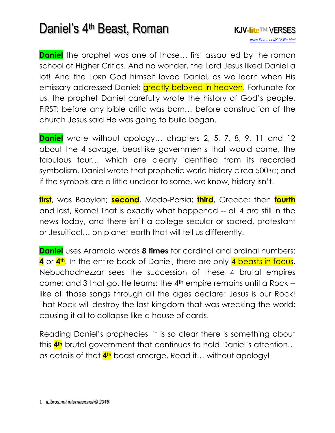**Daniel** the prophet was one of those... first assaulted by the roman school of Higher Critics. And no wonder, the Lord Jesus liked Daniel a lot! And the LORD God himself loved Daniel, as we learn when His emissary addressed Daniel: greatly beloved in heaven. Fortunate for us, the prophet Daniel carefully wrote the history of God's people, FIRST: before any bible critic was born… before construction of the church Jesus said He was going to build began.

**Daniel** wrote without apology… chapters 2, 5, 7, 8, 9, 11 and 12 about the 4 savage, beastlike governments that would come, the fabulous four… which are clearly identified from its recorded symbolism. Daniel wrote that prophetic world history circa 500BC; and if the symbols are a little unclear to some, we know, history isn't.

**first**, was Babylon; **second**, Medo-Persia; **third**, Greece; then **fourth** and last, Rome! That is exactly what happened -- all 4 are still in the news today, and there isn't a college secular or sacred, protestant or Jesuitical… on planet earth that will tell us differently.

**Daniel** uses Aramaic words **8 times** for cardinal and ordinal numbers: **4** or **4th**. In the entire book of Daniel, there are only 4 beasts in focus. Nebuchadnezzar sees the succession of these 4 brutal empires come; and 3 that go. He learns: the 4th empire remains until a Rock - like all those songs through all the ages declare: Jesus is our Rock! That Rock will destroy the last kingdom that was wrecking the world; causing it all to collapse like a house of cards.

Reading Daniel's prophecies, it is so clear there is something about this **4th** brutal government that continues to hold Daniel's attention… as details of that **4th** beast emerge. Read it… without apology!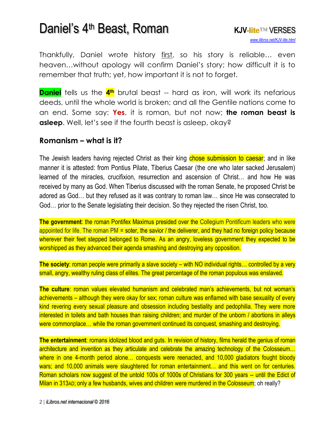Thankfully, Daniel wrote history first, so his story is reliable... even heaven…without apology will confirm Daniel's story; how difficult it is to remember that truth; yet, how important it is not to forget.

**Daniel** tells us the **4th** brutal beast -- hard as iron, will work its nefarious deeds, until the whole world is broken; and all the Gentile nations come to an end. Some say: **Yes**, it is roman, but not now; **the roman beast is asleep**. Well, let's see if the fourth beast is asleep, okay?

#### **Romanism – what is it?**

The Jewish leaders having rejected Christ as their king chose submission to caesar; and in like manner it is attested: from Pontius Pilate, Tiberius Caesar (the one who later sacked Jerusalem) learned of the miracles, crucifixion, resurrection and ascension of Christ… and how He was received by many as God. When Tiberius discussed with the roman Senate, he proposed Christ be adored as God… but they refused as it was contrary to roman law… since He was consecrated to God… prior to the Senate legislating their decision. So they rejected the risen Christ, too.

**The government:** the roman Pontifex Maximus presided over the Collegium Pontificum leaders who were appointed for life. The roman PM = soter, the savior / the deliverer, and they had no foreign policy because wherever their feet stepped belonged to Rome. As an angry, loveless government they expected to be worshipped as they advanced their agenda smashing and destroying any opposition.

**The society:** roman people were primarily a slave society – with NO individual rights... controlled by a very small, angry, wealthy ruling class of elites. The great percentage of the roman populous was enslaved.

**The culture**: roman values elevated humanism and celebrated man's achievements, but not woman's achievements – although they were okay for sex; roman culture was enflamed with base sexuality of every kind revering every sexual pleasure and obsession including bestiality and pedophilia. They were more interested in toilets and bath houses than raising children; and murder of the unborn / abortions in alleys were commonplace… while the roman government continued its conquest, smashing and destroying.

**The entertainment**: romans idolized blood and guts. In revision of history, films herald the genius of roman architecture and invention as they articulate and celebrate the amazing technology of the Colosseum… where in one 4-month period alone... conquests were reenacted, and 10,000 gladiators fought bloody wars; and 10,000 animals were slaughtered for roman entertainment… and this went on for centuries. Roman scholars now suggest of the untold 100s of 1000s of Christians for 300 years -- until the Edict of Milan in 313AD; only a few husbands, wives and children were murdered in the Colosseum; oh really?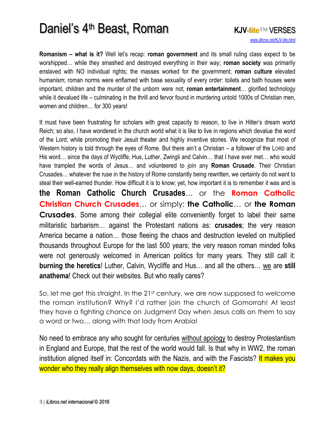**Romanism – what is it?** Well let's recap: **roman government** and its small ruling class expect to be worshipped… while they smashed and destroyed everything in their way; **roman society** was primarily enslaved with NO individual rights; the masses worked for the government; **roman culture** elevated humanism; roman norms were enflamed with base sexuality of every order: toilets and bath houses were important, children and the murder of the unborn were not; **roman entertainment**… glorified technology while it devalued life – culminating in the thrill and fervor found in murdering untold 1000s of Christian men, women and children… for 300 years!

It must have been frustrating for scholars with great capacity to reason, to live in Hitler's dream world Reich; so also, I have wondered in the church world what it is like to live in regions which devalue the word of the Lord; while promoting their Jesuit theater and highly inventive stories. We recognize that most of Western history is told through the eyes of Rome. But there ain't a Christian – a follower of the LORD and His word… since the days of Wycliffe, Hus, Luther, Zwingli and Calvin… that I have ever met… who would have trampled the words of Jesus… and volunteered to join any **Roman Crusade**. Their Christian Crusades… whatever the ruse in the history of Rome constantly being rewritten, we certainly do not want to steal their well-earned thunder. How difficult it is to know; yet, how important it is to remember it was and is **the Roman Catholic Church Crusades**… or the **Roman Catholic Christian Church Crusades**… or simply: **the Catholic**… or **the Roman Crusades**. Some among their collegial elite conveniently forget to label their same militaristic barbarism… against the Protestant nations as: **crusades**; the very reason America became a nation… those fleeing the chaos and destruction leveled on multiplied thousands throughout Europe for the last 500 years; the very reason roman minded folks were not generously welcomed in American politics for many years. They still call it: **burning the heretics**! Luther, Calvin, Wycliffe and Hus… and all the others… we are **still anathema**! Check out their websites. But who really cares?

So, let me get this straight. In the 21<sup>st</sup> century, we are now supposed to welcome the roman institution? Why? I'd rather join the church of Gomorrah! At least they have a fighting chance on Judgment Day when Jesus calls on them to say a word or two… along with that lady from Arabia!

No need to embrace any who sought for centuries without apology to destroy Protestantism in England and Europe, that the rest of the world would fall. Is that why in WW2, the roman institution aligned itself in: Concordats with the Nazis, and with the Fascists? It makes you wonder who they really align themselves with now days, doesn't it?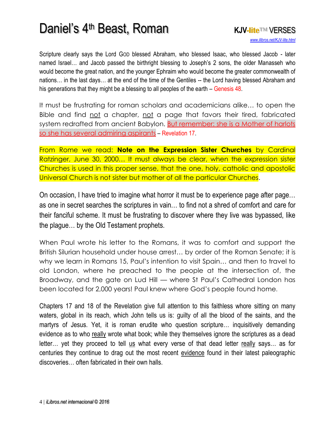Scripture clearly says the Lord GOD blessed Abraham, who blessed Isaac, who blessed Jacob - later named Israel… and Jacob passed the birthright blessing to Joseph's 2 sons, the older Manasseh who would become the great nation, and the younger Ephraim who would become the greater commonwealth of nations… in the last days*…* at the end of the time of the Gentiles -- the Lord having blessed Abraham and his generations that they might be a blessing to all peoples of the earth – Genesis 48.

It must be frustrating for roman scholars and academicians alike… to open the Bible and find not a chapter, not a page that favors their tired, fabricated system redrafted from ancient Babylon. But remember: she is a Mother of harlots [so she has several admiring aspirants](http://www.isa-net.org/pdf/REVELATION17vs1.pdf) – Revelation 17.

From Rome we read: **Note on the Expression Sister Churches** by Cardinal Ratzinger, June 30, 2000… It must always be clear, when the expression sister Churches is used in this proper sense, that the one, holy, catholic and apostolic Universal Church is not sister but mother of all the particular Churches.

On occasion, I have tried to imagine what horror it must be to experience page after page… as one in secret searches the scriptures in vain… to find not a shred of comfort and care for their fanciful scheme. It must be frustrating to discover where they live was bypassed, like the plague… by the Old Testament prophets.

When Paul wrote his letter to the Romans, it was to comfort and support the British Silurian household under house arrest… by order of the Roman Senate; it is why we learn in Romans 15, Paul's intention to visit Spain… and then to travel to old London, where he preached to the people at the intersection of, the Broadway, and the gate on Lud Hill — where St Paul's Cathedral London has been located for 2,000 years! Paul knew where God's people found home.

Chapters 17 and 18 of the Revelation give full attention to this faithless whore sitting on many waters, global in its reach, which John tells us is: guilty of all the blood of the saints, and the martyrs of Jesus. Yet, it is roman erudite who question scripture… inquisitively demanding evidence as to who really wrote what book; while they themselves ignore the scriptures as a dead letter… yet they proceed to tell us what every verse of that dead letter really says… as for centuries they continue to drag out the most recent evidence found in their latest paleographic discoveries… often fabricated in their own halls.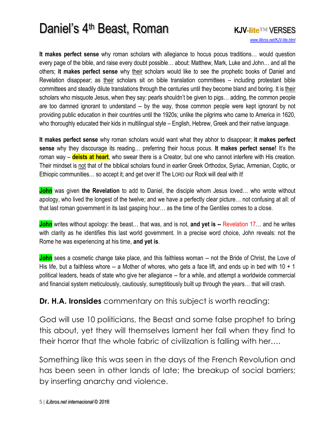**It makes perfect sense** why roman scholars with allegiance to hocus pocus traditions… would question every page of the bible, and raise every doubt possible… about: Matthew, Mark, Luke and John… and all the others; **it makes perfect sense** why their scholars would like to see the prophetic books of Daniel and Revelation disappear; as their scholars sit on bible translation committees – including protestant bible committees and steadily dilute translations through the centuries until they become bland and boring. It is their scholars who misquote Jesus, when they say: pearls shouldn't be given to pigs… adding, the common people are too damned ignorant to understand -- by the way, those common people were kept ignorant by not providing public education in their countries until the 1920s; unlike the pilgrims who came to America in 1620, who thoroughly educated their kids in multilingual style – English, Hebrew, Greek and their native language.

**It makes perfect sense** why roman scholars would want what they abhor to disappear; **it makes perfect sense** why they discourage its reading… preferring their hocus pocus. **It makes perfect sense!** It's the roman way – **deists at heart**, who swear there is a Creator, but one who cannot interfere with His creation. Their mindset is not that of the biblical scholars found in earlier Greek Orthodox, Syriac, Armenian, Coptic, or Ethiopic communities… so accept it; and get over it! The LORD our Rock will deal with it!

**John** was given **the Revelation** to add to Daniel, the disciple whom Jesus loved… who wrote without apology, who lived the longest of the twelve; and we have a perfectly clear picture… not confusing at all: of that last roman government in its last gasping hour… as the time of the Gentiles comes to a close.

**John** writes without apology: the beast… that was, and is not, **and yet is --** Revelation 17… and he writes with clarity as he identifies this last world government. In a precise word choice, John reveals: not the Rome he was experiencing at his time, **and yet is**.

**John** sees a cosmetic change take place, and this faithless woman -- not the Bride of Christ, the Love of His life, but a faithless whore -- a Mother of whores, who gets a face lift, and ends up in bed with  $10 + 1$ political leaders, heads of state who give her allegiance -- for a while, and attempt a worldwide commercial and financial system meticulously, cautiously, surreptitiously built up through the years… that will crash.

**Dr. H.A. Ironsides** commentary on this subject is worth reading:

God will use 10 politicians, the Beast and some false prophet to bring this about, yet they will themselves lament her fall when they find to their horror that the whole fabric of civilization is falling with her….

Something like this was seen in the days of the French Revolution and has been seen in other lands of late; the breakup of social barriers; by inserting anarchy and violence.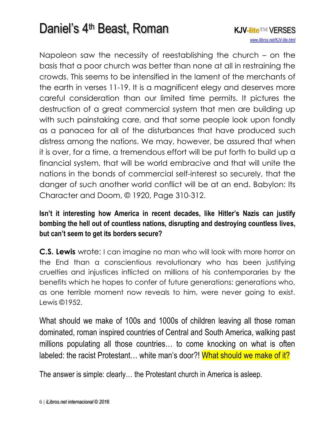Napoleon saw the necessity of reestablishing the church – on the basis that a poor church was better than none at all in restraining the crowds. This seems to be intensified in the lament of the merchants of the earth in verses 11-19. It is a magnificent elegy and deserves more careful consideration than our limited time permits. It pictures the destruction of a great commercial system that men are building up with such painstaking care, and that some people look upon fondly as a panacea for all of the disturbances that have produced such distress among the nations. We may, however, be assured that when it is over, for a time, a tremendous effort will be put forth to build up a financial system, that will be world embracive and that will unite the nations in the bonds of commercial self-interest so securely, that the danger of such another world conflict will be at an end. Babylon: Its Character and Doom, © 1920, Page 310-312.

#### **Isn't it interesting how America in recent decades, like Hitler's Nazis can justify bombing the hell out of countless nations, disrupting and destroying countless lives, but can't seem to get its borders secure?**

**C.S. Lewis** wrote: I can imagine no man who will look with more horror on the End than a conscientious revolutionary who has been justifying cruelties and injustices inflicted on millions of his contemporaries by the benefits which he hopes to confer of future generations: generations who, as one terrible moment now reveals to him, were never going to exist. Lewis ©1952.

What should we make of 100s and 1000s of children leaving all those roman dominated, roman inspired countries of Central and South America, walking past millions populating all those countries… to come knocking on what is often labeled: the racist Protestant... white man's door?! What should we make of it?

The answer is simple: clearly… the Protestant church in America is asleep.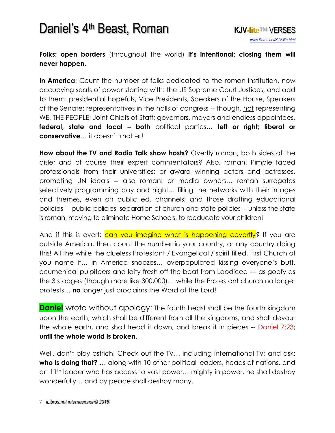**Folks: open borders** (throughout the world) **it's intentional; closing them will never happen.** 

**In America**: Count the number of folks dedicated to the roman institution, now occupying seats of power starting with: the US Supreme Court Justices; and add to them: presidential hopefuls, Vice Presidents, Speakers of the House, Speakers of the Senate; representatives in the halls of congress -- though, not representing WE, THE PEOPLE; Joint Chiefs of Staff; governors, mayors and endless appointees, **federal, state and local – both** political parties**… left or right; liberal or conservative**… it doesn't matter!

**How about the TV and Radio Talk show hosts?** Overtly roman, both sides of the aisle; and of course their expert commentators? Also, roman! Pimple faced professionals from their universities; or award winning actors and actresses, promoting UN ideals -- also roman! or media owners… roman surrogates selectively programming day and night… filling the networks with their images and themes, even on public ed. channels; and those drafting educational policies -- public policies, separation of church and state policies -- unless the state is roman, moving to eliminate Home Schools, to reeducate your children!

And if this is overt; can you imagine what is happening covertly? If you are outside America, then count the number in your country, or any country doing this! All the while the clueless Protestant / Evangelical / spirit filled, First Church of you name it… in America snoozes… overpopulated kissing everyone's butt, ecumenical pulpiteers and laity fresh off the boat from Laodicea — as goofy as the 3 stooges (though more like 300,000)… while the Protestant church no longer protests… **no** longer just proclaims the Word of the Lord!

**Daniel** wrote without apology: The fourth beast shall be the fourth kingdom upon the earth, which shall be different from all the kingdoms, and shall devour the whole earth, and shall tread it down, and break it in pieces -- Daniel 7:23; **until the whole world is broken**.

Well, don't play ostrich! Check out the TV... including international TV; and ask: **who is doing that?** … along with 10 other political leaders, heads of nations, and an 11th leader who has access to vast power… mighty in power, he shall destroy wonderfully… and by peace shall destroy many.